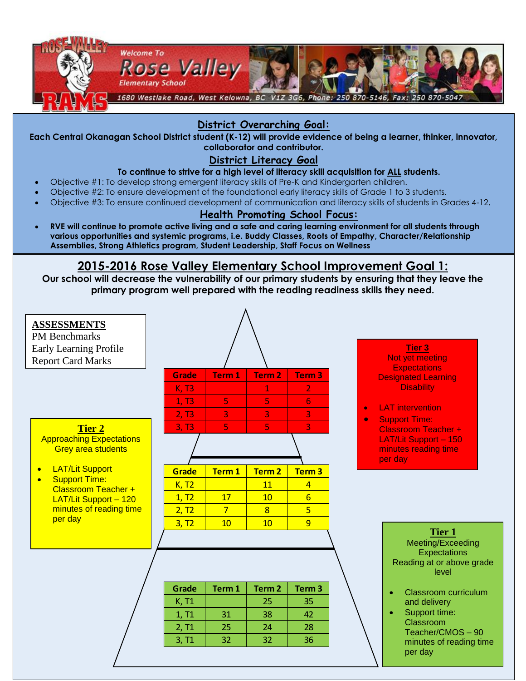

## **District Overarching Goal:**

**Each Central Okanagan School District student (K-12) will provide evidence of being a learner, thinker, innovator, collaborator and contributor.**

### **District Literacy Goal**

#### **To continue to strive for a high level of literacy skill acquisition for ALL students.**

- Objective #1: To develop strong emergent literacy skills of Pre-K and Kindergarten children.
- Objective #2: To ensure development of the foundational early literacy skills of Grade 1 to 3 students.
- Objective #3: To ensure continued development of communication and literacy skills of students in Grades 4-12.

#### **Health Promoting School Focus:**

 **RVE will continue to promote active living and a safe and caring learning environment for all students through various opportunities and systemic programs, i.e. Buddy Classes, Roots of Empathy, Character/Relationship Assemblies, Strong Athletics program, Student Leadership, Staff Focus on Wellness** 

#### **2015-2016 Rose Valley Elementary School Improvement Goal 1: RVE will introduce the one goal statement through assemblies, classroom lessons, displays and announcements**.

**Our school will decrease the vulnerability of our primary students by ensuring that they leave the primary program well prepared with the reading readiness skills they need.**